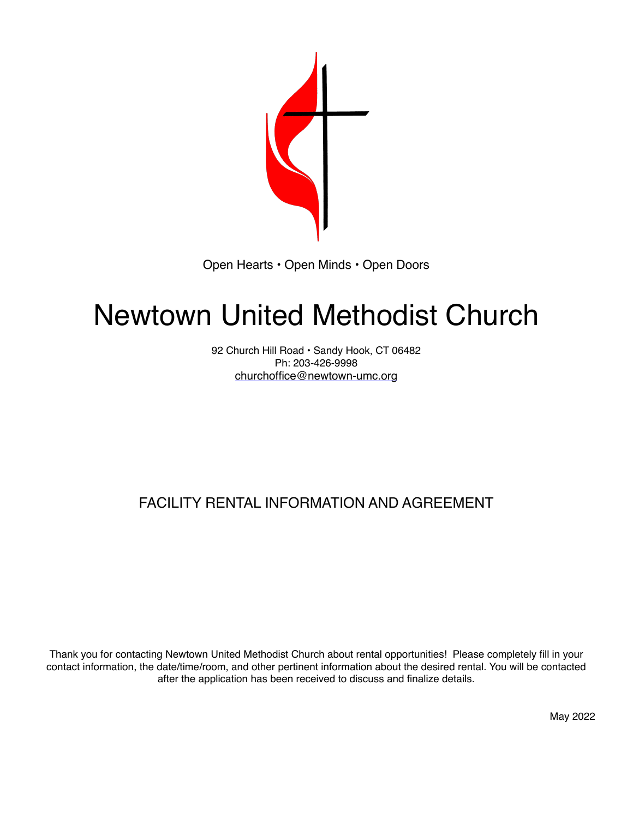

Open Hearts • Open Minds • Open Doors

# Newtown United Methodist Church

92 Church Hill Road · Sandy Hook, CT 06482 Ph: 203-426-9998 churchoffice@newtown-umc.org

## FACILITY RENTAL INFORMATION AND AGREEMENT

Thank you for contacting Newtown United Methodist Church about rental opportunities! Please completely fill in your contact information, the date/time/room, and other pertinent information about the desired rental. You will be contacted after the application has been received to discuss and finalize details.

May 2022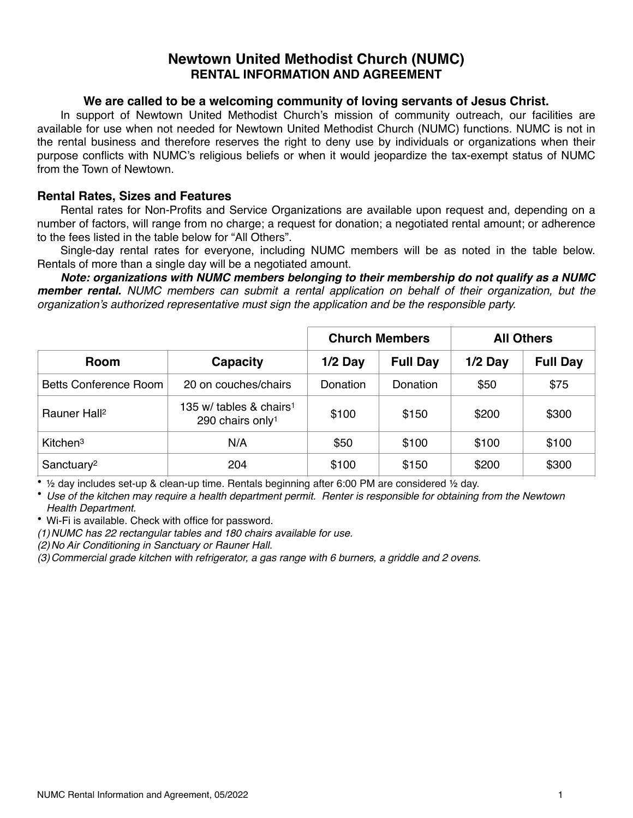#### **Newtown United Methodist Church (NUMC) RENTAL INFORMATION AND AGREEMENT**

#### **We are called to be a welcoming community of loving servants of Jesus Christ.**

In support of Newtown United Methodist Church's mission of community outreach, our facilities are available for use when not needed for Newtown United Methodist Church (NUMC) functions. NUMC is not in the rental business and therefore reserves the right to deny use by individuals or organizations when their purpose conflicts with NUMC's religious beliefs or when it would jeopardize the tax-exempt status of NUMC from the Town of Newtown.

#### **Rental Rates, Sizes and Features**

Rental rates for Non-Profits and Service Organizations are available upon request and, depending on a number of factors, will range from no charge; a request for donation; a negotiated rental amount; or adherence to the fees listed in the table below for "All Others".

Single-day rental rates for everyone, including NUMC members will be as noted in the table below. Rentals of more than a single day will be a negotiated amount.

*Note: organizations with NUMC members belonging to their membership do not qualify as a NUMC member rental. NUMC members can submit a rental application on behalf of their organization, but the organization's authorized representative must sign the application and be the responsible party.*

|                          |                                                                        | <b>Church Members</b> |                 | <b>All Others</b> |                 |
|--------------------------|------------------------------------------------------------------------|-----------------------|-----------------|-------------------|-----------------|
| <b>Room</b>              | Capacity                                                               | $1/2$ Day             | <b>Full Day</b> | $1/2$ Day         | <b>Full Day</b> |
| Betts Conference Room    | 20 on couches/chairs                                                   | Donation              | Donation        | \$50              | \$75            |
| Rauner Hall <sup>2</sup> | 135 w/ tables $\&$ chairs <sup>1</sup><br>290 chairs only <sup>1</sup> | \$100                 | \$150           | \$200             | \$300           |
| Kitchen <sup>3</sup>     | N/A                                                                    | \$50                  | \$100           | \$100             | \$100           |
| Sanctuary <sup>2</sup>   | 204                                                                    | \$100                 | \$150           | \$200             | \$300           |

• ½ day includes set-up & clean-up time. Rentals beginning after 6:00 PM are considered ½ day.

• *Use of the kitchen may require a health department permit. Renter is responsible for obtaining from the Newtown Health Department.*

• Wi-Fi is available. Check with office for password.

*(1)NUMC has 22 rectangular tables and 180 chairs available for use.*

*(2)No Air Conditioning in Sanctuary or Rauner Hall.*

*(3)Commercial grade kitchen with refrigerator, a gas range with 6 burners, a griddle and 2 ovens.*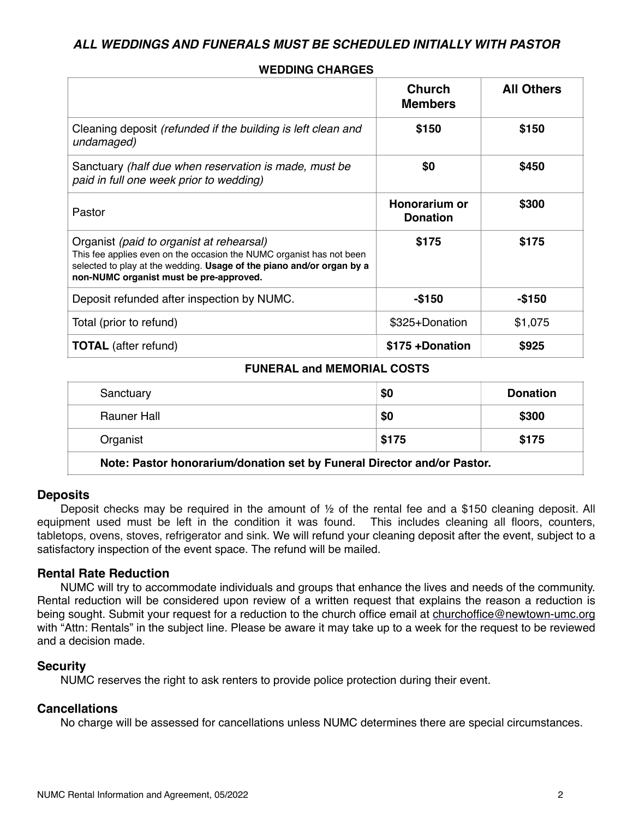#### *ALL WEDDINGS AND FUNERALS MUST BE SCHEDULED INITIALLY WITH PASTOR*

|                                                                                                                                                                                                                                      | <b>Church</b><br><b>Members</b>  | <b>All Others</b> |
|--------------------------------------------------------------------------------------------------------------------------------------------------------------------------------------------------------------------------------------|----------------------------------|-------------------|
| Cleaning deposit (refunded if the building is left clean and<br>undamaged)                                                                                                                                                           | \$150                            | \$150             |
| Sanctuary (half due when reservation is made, must be<br>paid in full one week prior to wedding)                                                                                                                                     | \$0                              | \$450             |
| Pastor                                                                                                                                                                                                                               | Honorarium or<br><b>Donation</b> | \$300             |
| Organist (paid to organist at rehearsal)<br>This fee applies even on the occasion the NUMC organist has not been<br>selected to play at the wedding. Usage of the piano and/or organ by a<br>non-NUMC organist must be pre-approved. | \$175                            | \$175             |
| Deposit refunded after inspection by NUMC.                                                                                                                                                                                           | $-$150$                          | -\$150            |
| Total (prior to refund)                                                                                                                                                                                                              | \$325+Donation                   | \$1,075           |
| <b>TOTAL</b> (after refund)                                                                                                                                                                                                          | \$175 +Donation                  | \$925             |

#### **WEDDING CHARGES**

#### **FUNERAL and MEMORIAL COSTS**

| Sanctuary                                                               | \$0   | <b>Donation</b> |  |
|-------------------------------------------------------------------------|-------|-----------------|--|
| Rauner Hall                                                             | \$0   | \$300           |  |
| Organist                                                                | \$175 | \$175           |  |
| Note: Pastor honorarium/donation set by Funeral Director and/or Pastor. |       |                 |  |

#### **Deposits**

Deposit checks may be required in the amount of ½ of the rental fee and a \$150 cleaning deposit. All equipment used must be left in the condition it was found. This includes cleaning all floors, counters, tabletops, ovens, stoves, refrigerator and sink. We will refund your cleaning deposit after the event, subject to a satisfactory inspection of the event space. The refund will be mailed.

#### **Rental Rate Reduction**

NUMC will try to accommodate individuals and groups that enhance the lives and needs of the community. Rental reduction will be considered upon review of a written request that explains the reason a reduction is being sought. Submit your request for a reduction to the church office email at [churchoffice@newtown-umc.org](mailto:churchoffice@newtown-umc.org) with "Attn: Rentals" in the subject line. Please be aware it may take up to a week for the request to be reviewed and a decision made.

#### **Security**

NUMC reserves the right to ask renters to provide police protection during their event.

#### **Cancellations**

No charge will be assessed for cancellations unless NUMC determines there are special circumstances.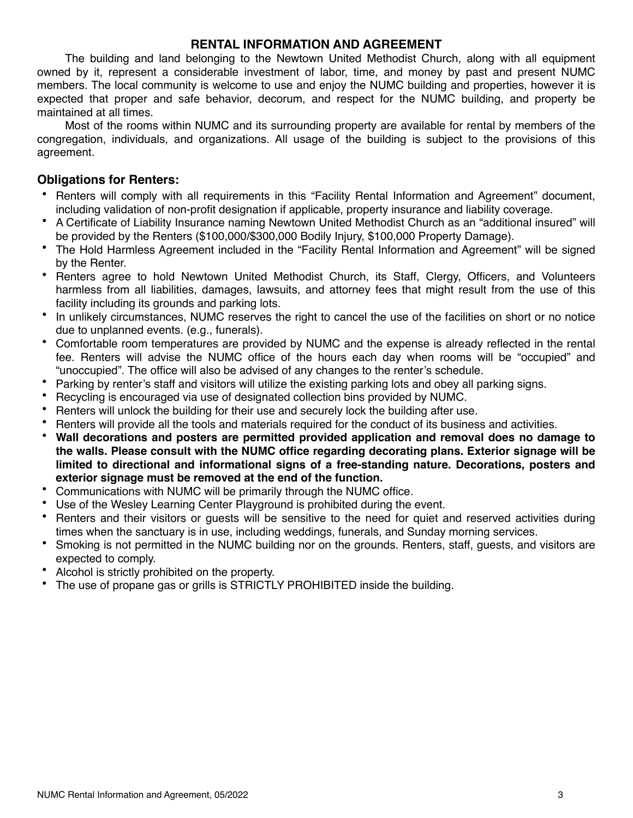#### **RENTAL INFORMATION AND AGREEMENT**

The building and land belonging to the Newtown United Methodist Church, along with all equipment owned by it, represent a considerable investment of labor, time, and money by past and present NUMC members. The local community is welcome to use and enjoy the NUMC building and properties, however it is expected that proper and safe behavior, decorum, and respect for the NUMC building, and property be maintained at all times.

Most of the rooms within NUMC and its surrounding property are available for rental by members of the congregation, individuals, and organizations. All usage of the building is subject to the provisions of this agreement.

#### **Obligations for Renters:**

- Renters will comply with all requirements in this "Facility Rental Information and Agreement" document, including validation of non-profit designation if applicable, property insurance and liability coverage.
- A Certificate of Liability Insurance naming Newtown United Methodist Church as an "additional insured" will be provided by the Renters (\$100,000/\$300,000 Bodily Injury, \$100,000 Property Damage).
- The Hold Harmless Agreement included in the "Facility Rental Information and Agreement" will be signed by the Renter.
- Renters agree to hold Newtown United Methodist Church, its Staff, Clergy, Officers, and Volunteers harmless from all liabilities, damages, lawsuits, and attorney fees that might result from the use of this facility including its grounds and parking lots.
- In unlikely circumstances, NUMC reserves the right to cancel the use of the facilities on short or no notice due to unplanned events. (e.g., funerals).
- Comfortable room temperatures are provided by NUMC and the expense is already reflected in the rental fee. Renters will advise the NUMC office of the hours each day when rooms will be "occupied" and "unoccupied". The office will also be advised of any changes to the renter's schedule.
- Parking by renter's staff and visitors will utilize the existing parking lots and obey all parking signs.
- Recycling is encouraged via use of designated collection bins provided by NUMC.
- Renters will unlock the building for their use and securely lock the building after use.
- Renters will provide all the tools and materials required for the conduct of its business and activities.
- **Wall decorations and posters are permitted provided application and removal does no damage to the walls. Please consult with the NUMC office regarding decorating plans. Exterior signage will be limited to directional and informational signs of a free-standing nature. Decorations, posters and exterior signage must be removed at the end of the function.**
- Communications with NUMC will be primarily through the NUMC office.
- Use of the Wesley Learning Center Playground is prohibited during the event.
- Renters and their visitors or guests will be sensitive to the need for quiet and reserved activities during times when the sanctuary is in use, including weddings, funerals, and Sunday morning services.
- Smoking is not permitted in the NUMC building nor on the grounds. Renters, staff, guests, and visitors are expected to comply.
- Alcohol is strictly prohibited on the property.
- The use of propane gas or grills is STRICTLY PROHIBITED inside the building.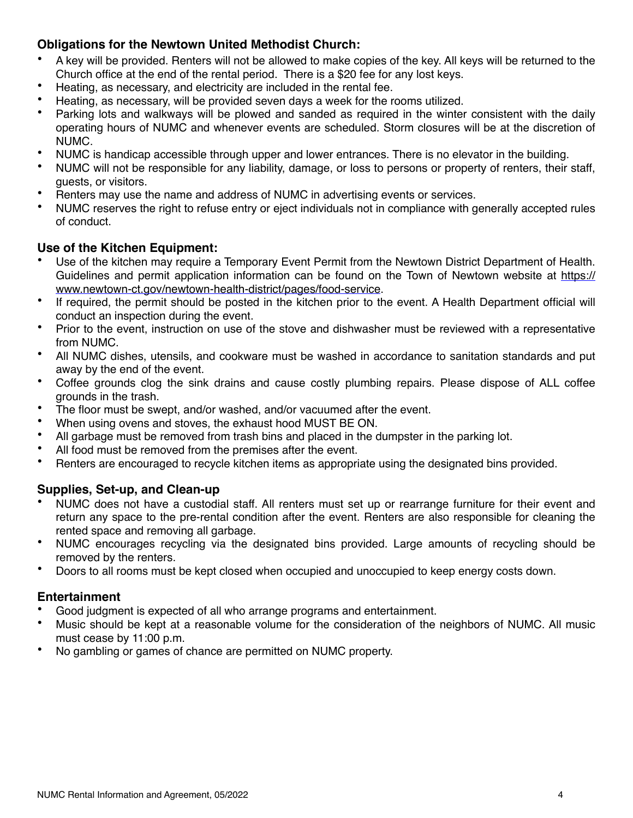#### **Obligations for the Newtown United Methodist Church:**

- A key will be provided. Renters will not be allowed to make copies of the key. All keys will be returned to the Church office at the end of the rental period. There is a \$20 fee for any lost keys.
- Heating, as necessary, and electricity are included in the rental fee.
- Heating, as necessary, will be provided seven days a week for the rooms utilized.
- Parking lots and walkways will be plowed and sanded as required in the winter consistent with the daily operating hours of NUMC and whenever events are scheduled. Storm closures will be at the discretion of NUMC.
- NUMC is handicap accessible through upper and lower entrances. There is no elevator in the building.
- NUMC will not be responsible for any liability, damage, or loss to persons or property of renters, their staff, guests, or visitors.
- Renters may use the name and address of NUMC in advertising events or services.
- NUMC reserves the right to refuse entry or eject individuals not in compliance with generally accepted rules of conduct.

#### **Use of the Kitchen Equipment:**

- Use of the kitchen may require a Temporary Event Permit from the Newtown District Department of Health. Guidelines and permit application information can be found on the Town of Newtown website at https:// www.newtown-ct.gov/newtown-health-district/pages/food-service.
- If required, the permit should be posted in the kitchen prior to the event. A Health Department official will conduct an inspection during the event.
- Prior to the event, instruction on use of the stove and dishwasher must be reviewed with a representative from NUMC.
- All NUMC dishes, utensils, and cookware must be washed in accordance to sanitation standards and put away by the end of the event.
- Coffee grounds clog the sink drains and cause costly plumbing repairs. Please dispose of ALL coffee grounds in the trash.
- The floor must be swept, and/or washed, and/or vacuumed after the event.
- When using ovens and stoves, the exhaust hood MUST BE ON.
- All garbage must be removed from trash bins and placed in the dumpster in the parking lot.
- All food must be removed from the premises after the event.<br>• Benters are encouraged to recycle kitchen items as appropri-
- Renters are encouraged to recycle kitchen items as appropriate using the designated bins provided.

#### **Supplies, Set-up, and Clean-up**

- NUMC does not have a custodial staff. All renters must set up or rearrange furniture for their event and return any space to the pre-rental condition after the event. Renters are also responsible for cleaning the rented space and removing all garbage.
- NUMC encourages recycling via the designated bins provided. Large amounts of recycling should be removed by the renters.
- Doors to all rooms must be kept closed when occupied and unoccupied to keep energy costs down.

#### **Entertainment**

- Good judgment is expected of all who arrange programs and entertainment.
- Music should be kept at a reasonable volume for the consideration of the neighbors of NUMC. All music must cease by 11:00 p.m.
- No gambling or games of chance are permitted on NUMC property.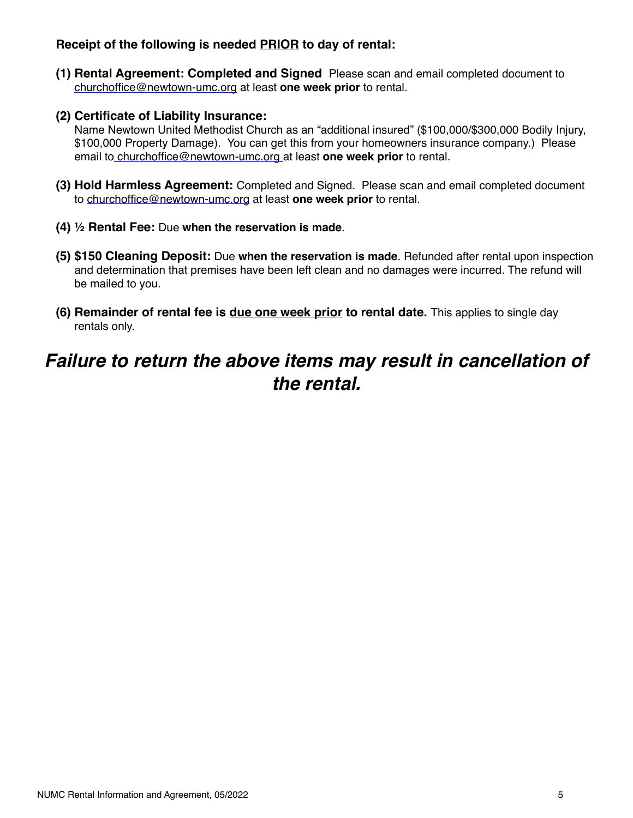#### **Receipt of the following is needed PRIOR to day of rental:**

- **(1) Rental Agreement: Completed and Signed** Please scan and email completed document to [churchoffice@newtown-umc.org](mailto:churchoffice@newtown-umc.org) at least **one week prior** to rental.
- **(2) Certificate of Liability Insurance:**

Name Newtown United Methodist Church as an "additional insured" (\$100,000/\$300,000 Bodily Injury, \$100,000 Property Damage). You can get this from your homeowners insurance company.) Please email to [churchoffice@newtown-umc.org](mailto:churchoffice@newtown-umc.org) at least **one week prior** to rental.

- **(3) Hold Harmless Agreement:** Completed and Signed. Please scan and email completed document to [churchoffice@newtown-umc.org](mailto:churchoffice@newtown-umc.org) at least **one week prior** to rental.
- **(4) ½ Rental Fee:** Due **when the reservation is made**.
- **(5) \$150 Cleaning Deposit:** Due **when the reservation is made**. Refunded after rental upon inspection and determination that premises have been left clean and no damages were incurred. The refund will be mailed to you.
- **(6) Remainder of rental fee is due one week prior to rental date.** This applies to single day rentals only.

# *Failure to return the above items may result in cancellation of the rental.*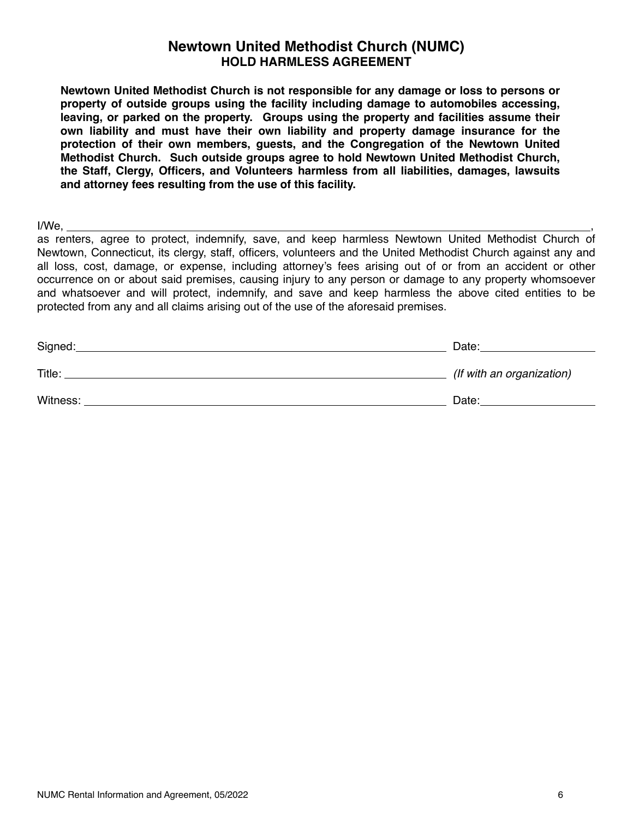#### **Newtown United Methodist Church (NUMC) HOLD HARMLESS AGREEMENT**

**Newtown United Methodist Church is not responsible for any damage or loss to persons or property of outside groups using the facility including damage to automobiles accessing, leaving, or parked on the property. Groups using the property and facilities assume their own liability and must have their own liability and property damage insurance for the protection of their own members, guests, and the Congregation of the Newtown United Methodist Church. Such outside groups agree to hold Newtown United Methodist Church, the Staff, Clergy, Officers, and Volunteers harmless from all liabilities, damages, lawsuits and attorney fees resulting from the use of this facility.**

 $I/We$ ,

as renters, agree to protect, indemnify, save, and keep harmless Newtown United Methodist Church of Newtown, Connecticut, its clergy, staff, officers, volunteers and the United Methodist Church against any and all loss, cost, damage, or expense, including attorney's fees arising out of or from an accident or other occurrence on or about said premises, causing injury to any person or damage to any property whomsoever and whatsoever and will protect, indemnify, and save and keep harmless the above cited entities to be protected from any and all claims arising out of the use of the aforesaid premises.

| Signed:  | Date:                     |
|----------|---------------------------|
| Title:   | (If with an organization) |
| Witness: | Date:                     |